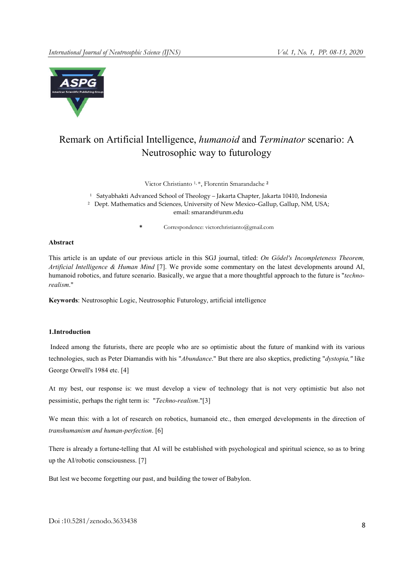

# Remark on Artificial Intelligence, *humanoid* and *Terminator* scenario: A Neutrosophic way to futurology

Victor Christianto <sup>1, \*</sup>, Florentin Smarandache <sup>2</sup>

<sup>1</sup> Satyabhakti Advanced School of Theology – Jakarta Chapter, Jakarta 10410, Indonesia

<sup>2</sup> Dept. Mathematics and Sciences, University of New Mexico–Gallup, Gallup, NM, USA;

email: smarand@unm.edu

\* Correspondence: victorchristianto@gmail.com

#### Abstract

This article is an update of our previous article in this SGJ journal, titled: *On Gödel's Incompleteness Theorem, Artificial Intelligence & Human Mind* [7]. We provide some commentary on the latest developments around AI, humanoid robotics, and future scenario. Basically, we argue that a more thoughtful approach to the future is "*technorealism*."

Keywords: Neutrosophic Logic, Neutrosophic Futurology, artificial intelligence

## 1.Introduction

Indeed among the futurists, there are people who are so optimistic about the future of mankind with its various technologies, such as Peter Diamandis with his "*Abundance*." But there are also skeptics, predicting "*dystopia,"* like George Orwell's 1984 etc. [4]

At my best, our response is: we must develop a view of technology that is not very optimistic but also not pessimistic, perhaps the right term is: "*Techno-realism*."[3]

We mean this: with a lot of research on robotics, humanoid etc., then emerged developments in the direction of *transhumanism and human-perfection*. [6]

There is already a fortune-telling that AI will be established with psychological and spiritual science, so as to bring up the AI/robotic consciousness. [7]

But lest we become forgetting our past, and building the tower of Babylon.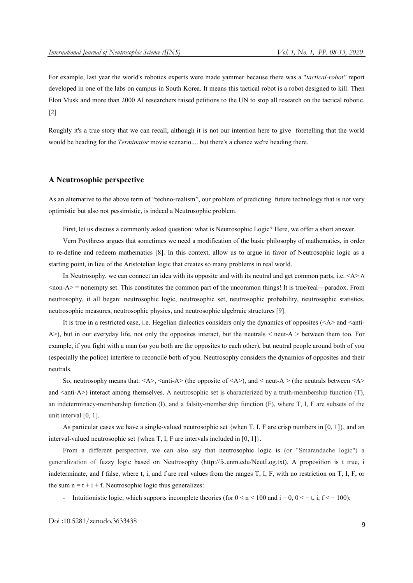For example, last year the world's robotics experts were made yammer because there was a "*tactical-robot"* report developed in one of the labs on campus in South Korea. It means this tactical robot is a robot designed to kill. Then Elon Musk and more than 2000 AI researchers raised petitions to the UN to stop all research on the tactical robotic. [2]

Roughly it's a true story that we can recall, although it is not our intention here to give foretelling that the world would be heading for the *Terminator* movie scenario.... but there's a chance we're heading there.

#### A Neutrosophic perspective

As an alternative to the above term of "techno-realism", our problem of predicting future technology that is not very optimistic but also not pessimistic, is indeed a Neutrosophic problem.

First, let us discuss a commonly asked question: what is Neutrosophic Logic? Here, we offer a short answer.

Vern Poythress argues that sometimes we need a modification of the basic philosophy of mathematics, in order to re-define and redeem mathematics [8]. In this context, allow us to argue in favor of Neutrosophic logic as a starting point, in lieu of the Aristotelian logic that creates so many problems in real world.

In Neutrosophy, we can connect an idea with its opposite and with its neutral and get common parts, i.e. <A > ∧  $\alpha$  <non-A $>$  = nonempty set. This constitutes the common part of the uncommon things! It is true/real—paradox. From neutrosophy, it all began: neutrosophic logic, neutrosophic set, neutrosophic probability, neutrosophic statistics, neutrosophic measures, neutrosophic physics, and neutrosophic algebraic structures [9].

It is true in a restricted case, i.e. Hegelian dialectics considers only the dynamics of opposites  $(\leq A >$  and  $\leq$  anti-A $>$ ), but in our everyday life, not only the opposites interact, but the neutrals  $\lt$  neut-A $\gt$  between them too. For example, if you fight with a man (so you both are the opposites to each other), but neutral people around both of you (especially the police) interfere to reconcile both of you. Neutrosophy considers the dynamics of opposites and their neutrals.

So, neutrosophy means that:  $\langle A \rangle$ ,  $\langle A \rangle$  (the opposite of  $\langle A \rangle$ ), and  $\langle A \rangle$  (the neutrals between  $\langle A \rangle$ and  $\langle$ anti-A $\rangle$ ) interact among themselves. A neutrosophic set is characterized by a truth-membership function (T), an indeterminacy-membership function (I), and a falsity-membership function (F), where T, I, F are subsets of the unit interval [0, 1].

As particular cases we have a single-valued neutrosophic set {when T, I, F are crisp numbers in [0, 1]}, and an interval-valued neutrosophic set {when T, I, F are intervals included in  $[0, 1]$ }.

From a different perspective, we can also say that neutrosophic logic is (or "Smarandache logic") a generalization of fuzzy logic based on Neutrosophy (http://fs.unm.edu/NeutLog.txt). A proposition is t true, i indeterminate, and f false, where t, i, and f are real values from the ranges T, I, F, with no restriction on T, I, F, or the sum  $n = t + i + f$ . Neutrosophic logic thus generalizes:

Intuitionistic logic, which supports incomplete theories (for  $0 \le n \le 100$  and  $i = 0$ ,  $0 \le t$ , i,  $f \le 100$ );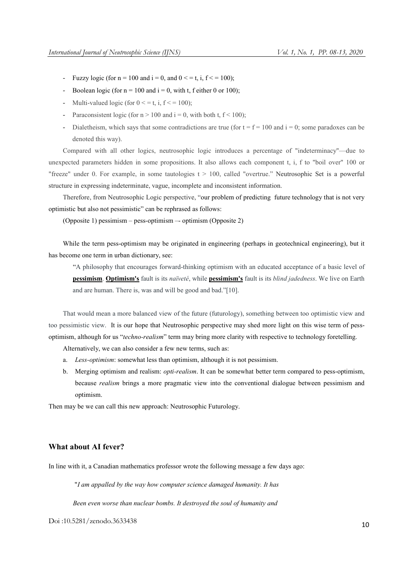- Fuzzy logic (for  $n = 100$  and  $i = 0$ , and  $0 \le t$ ,  $i, f \le 100$ );
- Boolean logic (for  $n = 100$  and  $i = 0$ , with t, f either 0 or 100);
- Multi-valued logic (for  $0 \le t$ , i,  $f \le 100$ );
- Paraconsistent logic (for  $n > 100$  and  $i = 0$ , with both t,  $f < 100$ );
- Dialetheism, which says that some contradictions are true (for  $t = f = 100$  and  $i = 0$ ; some paradoxes can be denoted this way).

Compared with all other logics, neutrosophic logic introduces a percentage of "indeterminacy"—due to unexpected parameters hidden in some propositions. It also allows each component t, i, f to "boil over" 100 or "freeze" under 0. For example, in some tautologies  $t > 100$ , called "overtrue." Neutrosophic Set is a powerful structure in expressing indeterminate, vague, incomplete and inconsistent information.

Therefore, from Neutrosophic Logic perspective, "our problem of predicting future technology that is not very optimistic but also not pessimistic" can be rephrased as follows:

(Opposite 1) pessimism – pess-optimism –- optimism (Opposite 2)

While the term pess-optimism may be originated in engineering (perhaps in geotechnical engineering), but it has become one term in urban dictionary, see:

"A philosophy that encourages forward-thinking optimism with an educated acceptance of a basic level of

pessimism. Optimism's fault is its *naïveté*, while pessimism's fault is its *blind jadedness*. We live on Earth and are human. There is, was and will be good and bad."[10].

That would mean a more balanced view of the future (futurology), something between too optimistic view and too pessimistic view. It is our hope that Neutrosophic perspective may shed more light on this wise term of pessoptimism, although for us "*techno-realism*" term may bring more clarity with respective to technology foretelling.

Alternatively, we can also consider a few new terms, such as:

- a. *Less-optimism*: somewhat less than optimism, although it is not pessimism.
- b. Merging optimism and realism: *opti-realism*. It can be somewhat better term compared to pess-optimism, because *realism* brings a more pragmatic view into the conventional dialogue between pessimism and optimism.

Then may be we can call this new approach: Neutrosophic Futurology.

## What about AI fever?

In line with it, a Canadian mathematics professor wrote the following message a few days ago:

"*I am appalled by the way how computer science damaged humanity. It has*

*Been even worse than nuclear bombs. It destroyed the soul of humanity and*

Doi :10.5281/zenodo.3633438 <sup>10</sup>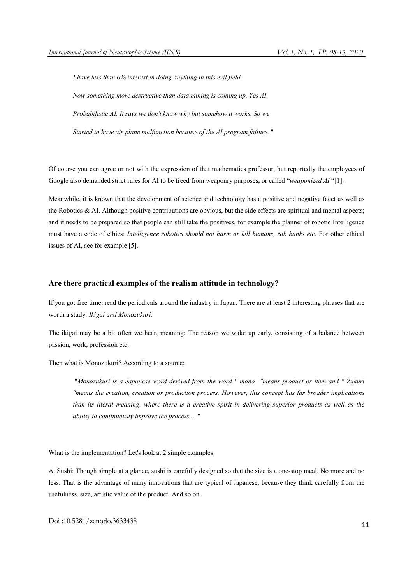*I have less than 0% interest in doing anything in this evil field. Now something more destructive than data mining is coming up. Yes AI, Probabilistic AI. It says we don't know why but somehow it works. So we Started to have air plane malfunction because of the AI program failure.* "

Of course you can agree or not with the expression of that mathematics professor, but reportedly the employees of Google also demanded strict rules for AI to be freed from weaponry purposes, or called "*weaponized AI* "[1].

Meanwhile, it is known that the development of science and technology has a positive and negative facet as well as the Robotics & AI. Although positive contributions are obvious, but the side effects are spiritual and mental aspects; and it needs to be prepared so that people can still take the positives, for example the planner of robotic Intelligence must have a code of ethics: *Intelligence robotics should not harm or kill humans, rob banks etc*. For other ethical issues of AI, see for example [5].

# Are there practical examples of the realism attitude in technology?

If you got free time, read the periodicals around the industry in Japan. There are at least 2 interesting phrases that are worth a study: *Ikigai and Monozukuri.*

The ikigai may be a bit often we hear, meaning: The reason we wake up early, consisting of a balance between passion, work, profession etc.

Then what is Monozukuri? According to a source:

"*Monozukuri is a Japanese word derived from the word " mono "means product or item and " Zukuri "means the creation, creation or production process. However, this concept has far broader implications than its literal meaning, where there is a creative spirit in delivering superior products as well as the ability to continuously improve the process...* "

What is the implementation? Let's look at 2 simple examples:

A. Sushi: Though simple at a glance, sushi is carefully designed so that the size is a one-stop meal. No more and no less. That is the advantage of many innovations that are typical of Japanese, because they think carefully from the usefulness, size, artistic value of the product. And so on.

Doi :10.5281/zenodo.3633438 <sup>11</sup>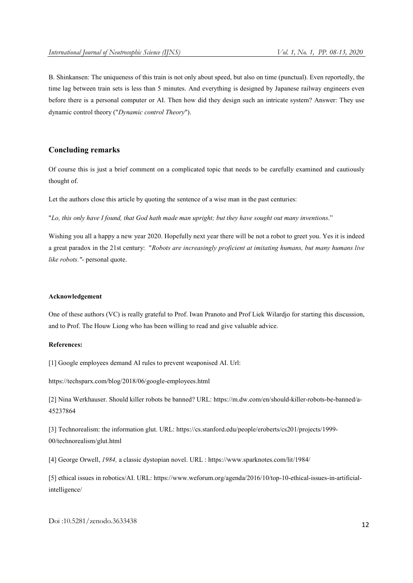B. Shinkansen: The uniqueness of this train is not only about speed, but also on time (punctual). Even reportedly, the time lag between train sets is less than 5 minutes. And everything is designed by Japanese railway engineers even before there is a personal computer or AI. Then how did they design such an intricate system? Answer: They use dynamic control theory ("*Dynamic control Theory*").

# Concluding remarks

Of course this is just a brief comment on a complicated topic that needs to be carefully examined and cautiously thought of.

Let the authors close this article by quoting the sentence of a wise man in the past centuries:

"*Lo, this only have I found, that God hath made man upright; but they have sought out many inventions*."

Wishing you all a happy a new year 2020. Hopefully next year there will be not a robot to greet you. Yes it is indeed a great paradox in the 21st century: "*Robots are increasingly proficient at imitating humans, but many humans live like robots."-* personal quote.

#### Acknowledgement

One of these authors (VC) is really grateful to Prof. Iwan Pranoto and Prof Liek Wilardjo for starting this discussion, and to Prof. The Houw Liong who has been willing to read and give valuable advice.

### References:

[1] Google employees demand AI rules to prevent weaponised AI. Url:

https://techsparx.com/blog/2018/06/google-employees.html

[2] Nina Werkhauser. Should killer robots be banned? URL: https://m.dw.com/en/should-killer-robots-be-banned/a-45237864

[3] Technorealism: the information glut. URL: https://cs.stanford.edu/people/eroberts/cs201/projects/1999- 00/technorealism/glut.html

[4] George Orwell, *1984,* a classic dystopian novel. URL : https://www.sparknotes.com/lit/1984/

[5] ethical issues in robotics/AI. URL: https://www.weforum.org/agenda/2016/10/top-10-ethical-issues-in-artificialintelligence/

Doi :10.5281/zenodo.3633438 <sup>12</sup>